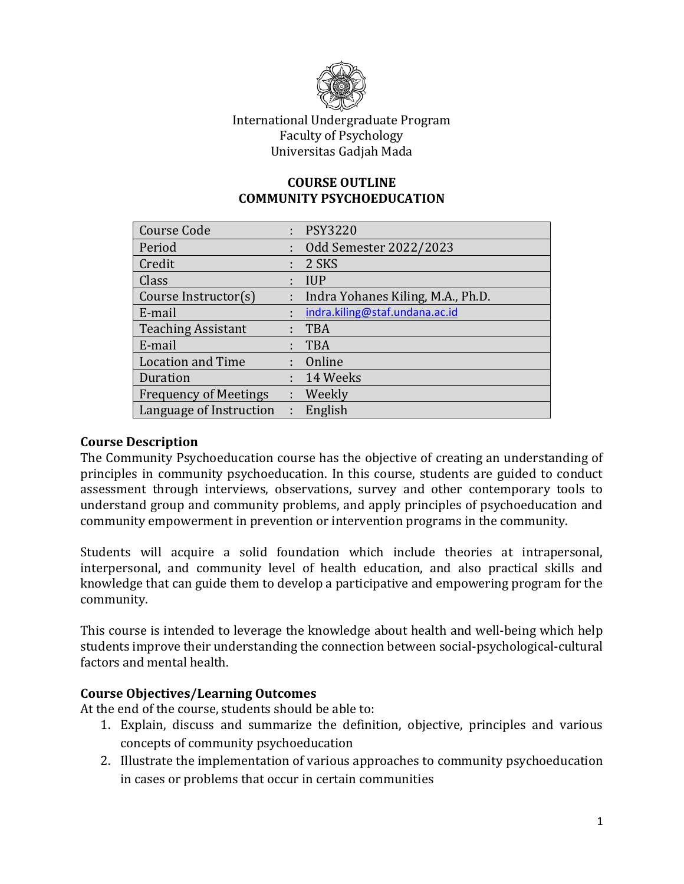

## International Undergraduate Program Faculty of Psychology Universitas Gadjah Mada

#### **COURSE OUTLINE COMMUNITY PSYCHOEDUCATION**

| <b>Course Code</b>           |    | : PSY3220                         |
|------------------------------|----|-----------------------------------|
| Period                       |    | Odd Semester 2022/2023            |
| Credit                       |    | 2 SKS                             |
| Class                        |    | <b>IUP</b>                        |
| Course Instructor(s)         | ÷. | Indra Yohanes Kiling, M.A., Ph.D. |
| E-mail                       | t  | indra.kiling@staf.undana.ac.id    |
| <b>Teaching Assistant</b>    |    | <b>TBA</b>                        |
| E-mail                       |    | <b>TBA</b>                        |
| <b>Location and Time</b>     |    | Online                            |
| Duration                     | t. | 14 Weeks                          |
| <b>Frequency of Meetings</b> | t. | Weekly                            |
| Language of Instruction      | t. | English                           |

#### **Course Description**

The Community Psychoeducation course has the objective of creating an understanding of principles in community psychoeducation. In this course, students are guided to conduct assessment through interviews, observations, survey and other contemporary tools to understand group and community problems, and apply principles of psychoeducation and community empowerment in prevention or intervention programs in the community.

Students will acquire a solid foundation which include theories at intrapersonal, interpersonal, and community level of health education, and also practical skills and knowledge that can guide them to develop a participative and empowering program for the community.

This course is intended to leverage the knowledge about health and well-being which help students improve their understanding the connection between social-psychological-cultural factors and mental health.

#### **Course Objectives/Learning Outcomes**

At the end of the course, students should be able to:

- 1. Explain, discuss and summarize the definition, objective, principles and various concepts of community psychoeducation
- 2. Illustrate the implementation of various approaches to community psychoeducation in cases or problems that occur in certain communities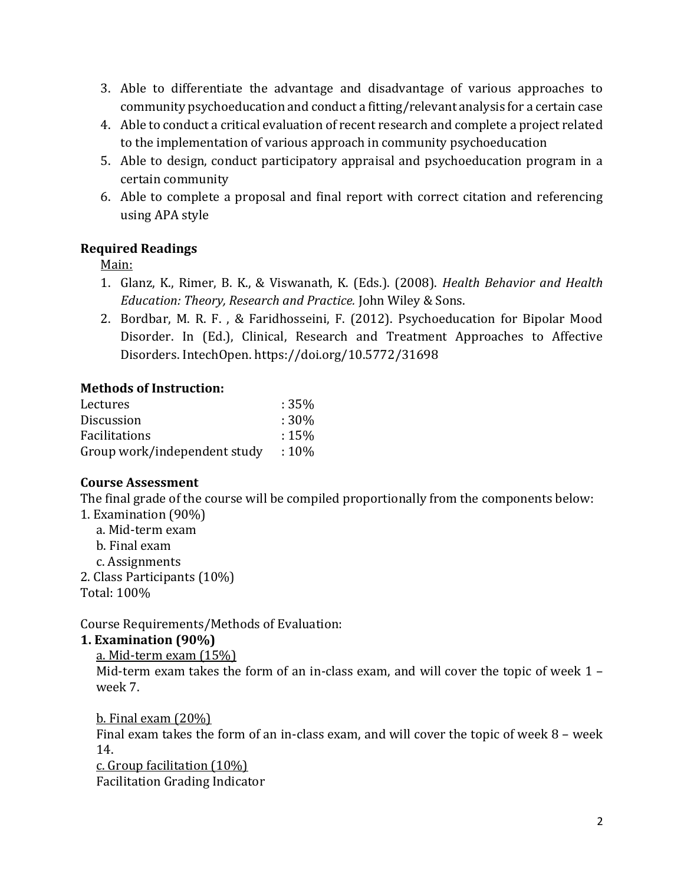- 3. Able to differentiate the advantage and disadvantage of various approaches to community psychoeducation and conduct a fitting/relevant analysis for a certain case
- 4. Able to conduct a critical evaluation of recent research and complete a project related to the implementation of various approach in community psychoeducation
- 5. Able to design, conduct participatory appraisal and psychoeducation program in a certain community
- 6. Able to complete a proposal and final report with correct citation and referencing using APA style

## **Required Readings**

Main:

- 1. Glanz, K., Rimer, B. K., & Viswanath, K. (Eds.). (2008). *Health Behavior and Health Education: Theory, Research and Practice.* John Wiley & Sons.
- 2. Bordbar, M. R. F. , & Faridhosseini, F. (2012). Psychoeducation for Bipolar Mood Disorder. In (Ed.), Clinical, Research and Treatment Approaches to Affective Disorders. IntechOpen. https://doi.org/10.5772/31698

### **Methods of Instruction:**

| Lectures                     | $:35\%$ |
|------------------------------|---------|
| <b>Discussion</b>            | $:30\%$ |
| <b>Facilitations</b>         | $:15\%$ |
| Group work/independent study | $:10\%$ |

#### **Course Assessment**

The final grade of the course will be compiled proportionally from the components below: 1. Examination (90%)

- a. Mid-term exam
- b. Final exam
- c. Assignments
- 2. Class Participants (10%)

Total: 100%

Course Requirements/Methods of Evaluation:

## **1. Examination (90%)**

## a. Mid-term exam (15%)

Mid-term exam takes the form of an in-class exam, and will cover the topic of week 1 – week 7.

b. Final exam (20%) Final exam takes the form of an in-class exam, and will cover the topic of week 8 – week 14.

c. Group facilitation (10%)

Facilitation Grading Indicator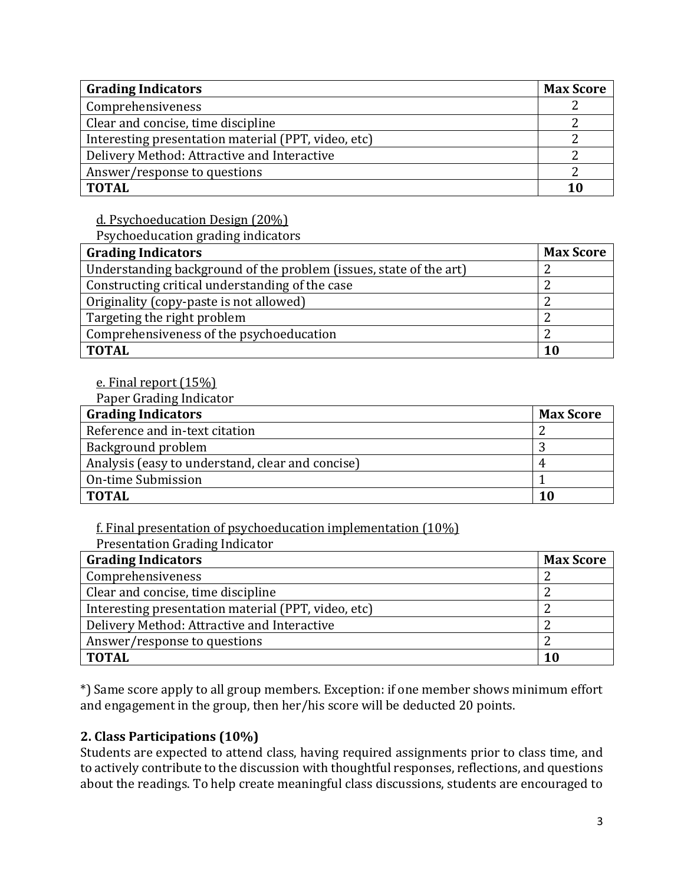| <b>Grading Indicators</b>                           |  |  |
|-----------------------------------------------------|--|--|
| Comprehensiveness                                   |  |  |
| Clear and concise, time discipline                  |  |  |
| Interesting presentation material (PPT, video, etc) |  |  |
| Delivery Method: Attractive and Interactive         |  |  |
| Answer/response to questions                        |  |  |
| <b>TOTAL</b>                                        |  |  |

d. Psychoeducation Design (20%)

Psychoeducation grading indicators

| <b>Grading Indicators</b>                                          | <b>Max Score</b> |
|--------------------------------------------------------------------|------------------|
| Understanding background of the problem (issues, state of the art) |                  |
| Constructing critical understanding of the case                    |                  |
| Originality (copy-paste is not allowed)                            |                  |
| Targeting the right problem                                        |                  |
| Comprehensiveness of the psychoeducation                           |                  |
| <b>TOTAL</b>                                                       | 10               |

### e. Final report (15%)

Paper Grading Indicator

| <b>Grading Indicators</b>                        | <b>Max Score</b> |
|--------------------------------------------------|------------------|
| Reference and in-text citation                   |                  |
| Background problem                               |                  |
| Analysis (easy to understand, clear and concise) | 4                |
| On-time Submission                               |                  |
| <b>TOTAL</b>                                     | 10               |

f. Final presentation of psychoeducation implementation (10%)

Presentation Grading Indicator

| <b>Grading Indicators</b>                           |    |  |
|-----------------------------------------------------|----|--|
| Comprehensiveness                                   |    |  |
| Clear and concise, time discipline                  |    |  |
| Interesting presentation material (PPT, video, etc) |    |  |
| Delivery Method: Attractive and Interactive         |    |  |
| Answer/response to questions                        |    |  |
| <b>TOTAL</b>                                        | 10 |  |

\*) Same score apply to all group members. Exception: if one member shows minimum effort and engagement in the group, then her/his score will be deducted 20 points.

## **2. Class Participations (10%)**

Students are expected to attend class, having required assignments prior to class time, and to actively contribute to the discussion with thoughtful responses, reflections, and questions about the readings. To help create meaningful class discussions, students are encouraged to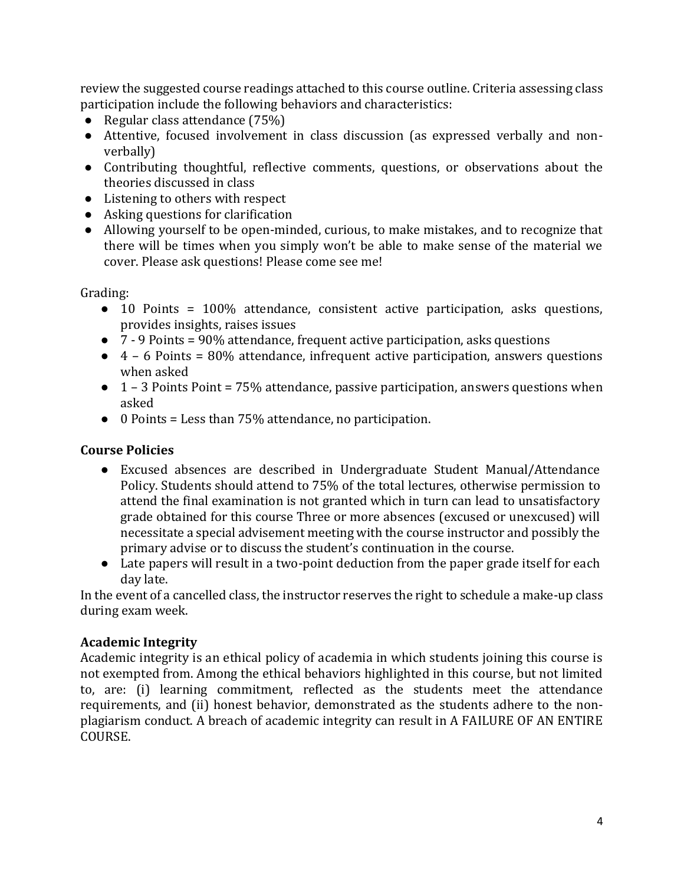review the suggested course readings attached to this course outline. Criteria assessing class participation include the following behaviors and characteristics:

- Regular class attendance (75%)
- Attentive, focused involvement in class discussion (as expressed verbally and nonverbally)
- Contributing thoughtful, reflective comments, questions, or observations about the theories discussed in class
- Listening to others with respect
- Asking questions for clarification
- Allowing yourself to be open-minded, curious, to make mistakes, and to recognize that there will be times when you simply won't be able to make sense of the material we cover. Please ask questions! Please come see me!

Grading:

- 10 Points = 100% attendance, consistent active participation, asks questions, provides insights, raises issues
- 7 9 Points = 90% attendance, frequent active participation, asks questions
- 4 6 Points = 80% attendance, infrequent active participation, answers questions when asked
- 1 3 Points Point = 75% attendance, passive participation, answers questions when asked
- 0 Points = Less than 75% attendance, no participation.

## **Course Policies**

- Excused absences are described in Undergraduate Student Manual/Attendance Policy. Students should attend to 75% of the total lectures, otherwise permission to attend the final examination is not granted which in turn can lead to unsatisfactory grade obtained for this course Three or more absences (excused or unexcused) will necessitate a special advisement meeting with the course instructor and possibly the primary advise or to discuss the student's continuation in the course.
- Late papers will result in a two-point deduction from the paper grade itself for each day late.

In the event of a cancelled class, the instructor reserves the right to schedule a make-up class during exam week.

## **Academic Integrity**

Academic integrity is an ethical policy of academia in which students joining this course is not exempted from. Among the ethical behaviors highlighted in this course, but not limited to, are: (i) learning commitment, reflected as the students meet the attendance requirements, and (ii) honest behavior, demonstrated as the students adhere to the nonplagiarism conduct. A breach of academic integrity can result in A FAILURE OF AN ENTIRE COURSE.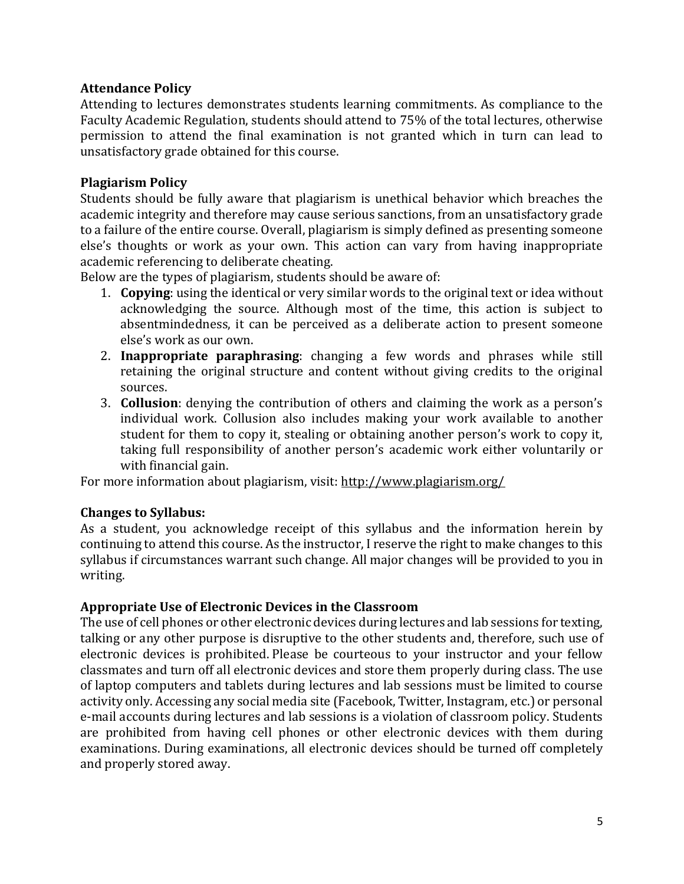### **Attendance Policy**

Attending to lectures demonstrates students learning commitments. As compliance to the Faculty Academic Regulation, students should attend to 75% of the total lectures, otherwise permission to attend the final examination is not granted which in turn can lead to unsatisfactory grade obtained for this course.

### **Plagiarism Policy**

Students should be fully aware that plagiarism is unethical behavior which breaches the academic integrity and therefore may cause serious sanctions, from an unsatisfactory grade to a failure of the entire course. Overall, plagiarism is simply defined as presenting someone else's thoughts or work as your own. This action can vary from having inappropriate academic referencing to deliberate cheating.

Below are the types of plagiarism, students should be aware of:

- 1. **Copying**: using the identical or very similar words to the original text or idea without acknowledging the source. Although most of the time, this action is subject to absentmindedness, it can be perceived as a deliberate action to present someone else's work as our own.
- 2. **Inappropriate paraphrasing**: changing a few words and phrases while still retaining the original structure and content without giving credits to the original sources.
- 3. **Collusion**: denying the contribution of others and claiming the work as a person's individual work. Collusion also includes making your work available to another student for them to copy it, stealing or obtaining another person's work to copy it, taking full responsibility of another person's academic work either voluntarily or with financial gain.

For more information about plagiarism, visit:<http://www.plagiarism.org/>

#### **Changes to Syllabus:**

As a student, you acknowledge receipt of this syllabus and the information herein by continuing to attend this course. As the instructor, I reserve the right to make changes to this syllabus if circumstances warrant such change. All major changes will be provided to you in writing.

#### **Appropriate Use of Electronic Devices in the Classroom**

The use of cell phones or other electronic devices during lectures and lab sessions for texting, talking or any other purpose is disruptive to the other students and, therefore, such use of electronic devices is prohibited. Please be courteous to your instructor and your fellow classmates and turn off all electronic devices and store them properly during class. The use of laptop computers and tablets during lectures and lab sessions must be limited to course activity only. Accessing any social media site (Facebook, Twitter, Instagram, etc.) or personal e-mail accounts during lectures and lab sessions is a violation of classroom policy. Students are prohibited from having cell phones or other electronic devices with them during examinations. During examinations, all electronic devices should be turned off completely and properly stored away.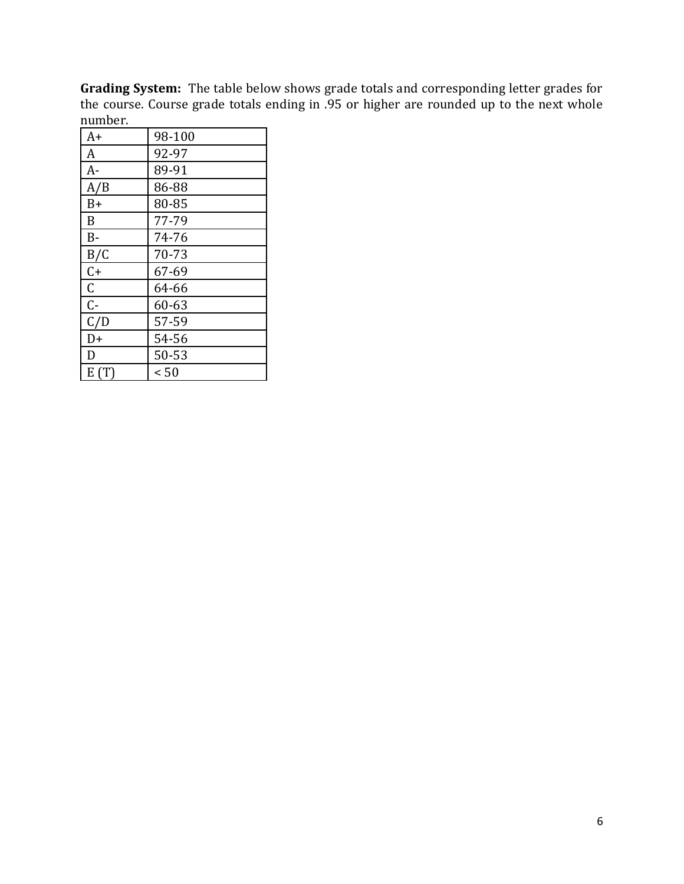**Grading System:** The table below shows grade totals and corresponding letter grades for the course. Course grade totals ending in .95 or higher are rounded up to the next whole number.

| A+             | 98-100 |
|----------------|--------|
| A              | 92-97  |
| $A -$          | 89-91  |
| A/B            | 86-88  |
| $B+$           | 80-85  |
| B              | 77-79  |
| $B -$          | 74-76  |
| B/C            | 70-73  |
| $C+$           | 67-69  |
| C              | 64-66  |
| $\mathsf{C}$ - | 60-63  |
| C/D            | 57-59  |
| D+             | 54-56  |
| D              | 50-53  |
| E(T)           | < 50   |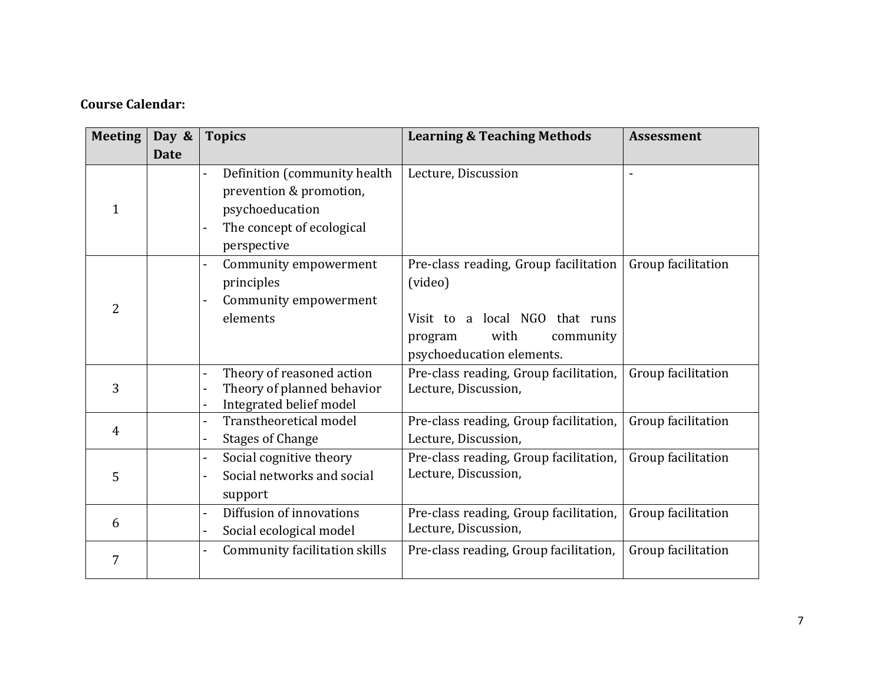# **Course Calendar:**

| <b>Meeting</b> | Day &       | <b>Topics</b>                                                                                                          | <b>Learning &amp; Teaching Methods</b>                                                                                                          | <b>Assessment</b>        |
|----------------|-------------|------------------------------------------------------------------------------------------------------------------------|-------------------------------------------------------------------------------------------------------------------------------------------------|--------------------------|
|                | <b>Date</b> |                                                                                                                        |                                                                                                                                                 |                          |
| 1              |             | Definition (community health<br>prevention & promotion,<br>psychoeducation<br>The concept of ecological<br>perspective | Lecture, Discussion                                                                                                                             | $\overline{\phantom{a}}$ |
| $\overline{2}$ |             | Community empowerment<br>$\overline{a}$<br>principles<br>Community empowerment<br>elements                             | Pre-class reading, Group facilitation<br>(video)<br>Visit to a local NGO that runs<br>with<br>community<br>program<br>psychoeducation elements. | Group facilitation       |
| 3              |             | Theory of reasoned action<br>$\overline{a}$<br>Theory of planned behavior<br>Integrated belief model                   | Pre-class reading, Group facilitation,<br>Lecture, Discussion,                                                                                  | Group facilitation       |
| 4              |             | Transtheoretical model<br>$\blacksquare$<br><b>Stages of Change</b>                                                    | Pre-class reading, Group facilitation,<br>Lecture, Discussion,                                                                                  | Group facilitation       |
| 5              |             | Social cognitive theory<br>$\overline{\phantom{a}}$<br>Social networks and social<br>support                           | Pre-class reading, Group facilitation,<br>Lecture, Discussion,                                                                                  | Group facilitation       |
| 6              |             | Diffusion of innovations<br>$\overline{\phantom{0}}$<br>Social ecological model                                        | Pre-class reading, Group facilitation,<br>Lecture, Discussion,                                                                                  | Group facilitation       |
| 7              |             | Community facilitation skills                                                                                          | Pre-class reading, Group facilitation,                                                                                                          | Group facilitation       |